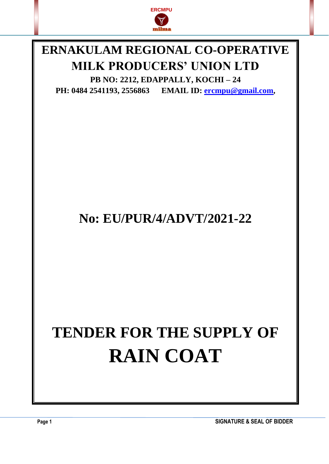

## **ERNAKULAM REGIONAL CO-OPERATIVE MILK PRODUCERS' UNION LTD**

**PB NO: 2212, EDAPPALLY, KOCHI – 24 PH: 0484 2541193, 2556863 EMAIL ID: [ercmpu@gmail.com](mailto:ercmpu@gmail.com),**

## **No: EU/PUR/4/ADVT/2021-22**

# **TENDER FOR THE SUPPLY OF RAIN COAT**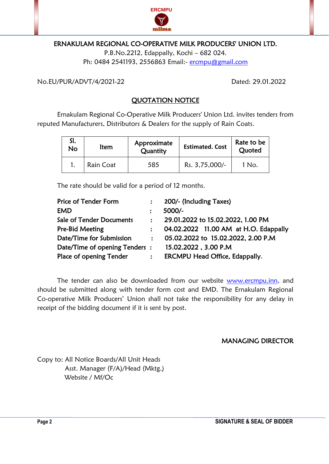

#### ERNAKULAM REGIONAL CO-OPERATIVE MILK PRODUCERS' UNION LTD.

P.B.No.2212, Edappally, Kochi – 682 024. Ph: 0484 2541193, 2556863 Email:- [ercmpu@gmail.com](mailto:ercmpu@gmail.com)

No.EU/PUR/ADVT/4/2021-22 Dated: 29.01.2022

#### QUOTATION NOTICE

Ernakulam Regional Co-Operative Milk Producers' Union Ltd. invites tenders from reputed Manufacturers, Distributors & Dealers for the supply of Rain Coats.

| No | ltem      | Approximate<br>Quantity | <b>Estimated. Cost</b> | Rate to be<br>Quoted |
|----|-----------|-------------------------|------------------------|----------------------|
|    | Rain Coat | 585                     | Rs. 3,75,000/-         | 1 No.                |

The rate should be valid for a period of 12 months.

| Price of Tender Form                               |                | 200/- (Including Taxes)               |
|----------------------------------------------------|----------------|---------------------------------------|
| <b>EMD</b>                                         |                | 5000/-                                |
| <b>Sale of Tender Documents</b>                    | $\mathbf{L}$   | 29.01.2022 to 15.02.2022, 1.00 PM     |
| Pre-Bid Meeting                                    |                | 04.02.2022 11.00 AM at H.O. Edappally |
| Date/Time for Submission                           | $\mathbf{r}$   | 05.02.2022 to 15.02.2022, 2.00 P.M    |
| Date/Time of opening Tenders: 15.02.2022, 3.00 P.M |                |                                       |
| Place of opening Tender                            | $\ddot{\cdot}$ | <b>ERCMPU Head Office, Edappally.</b> |
|                                                    |                |                                       |

The tender can also be downloaded from our website [www.ercmpu.inn,](http://www.ercmpu.inn/) and should be submitted along with tender form cost and EMD. The Ernakulam Regional Co-operative Milk Producers' Union shall not take the responsibility for any delay in receipt of the bidding document if it is sent by post.

#### MANAGING DIRECTOR

Copy to: All Notice Boards/All Unit Heads Asst. Manager (F/A)/Head (Mktg.) Website / Mf/Oc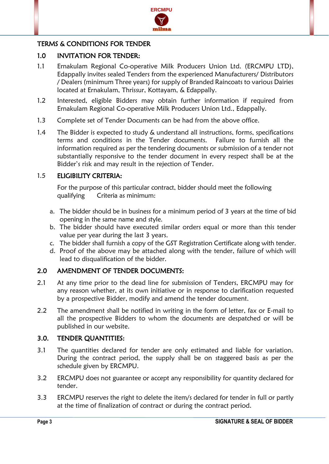

#### TERMS & CONDITIONS FOR TENDER

#### 1.0 INVITATION FOR TENDER:

- 1.1 Ernakulam Regional Co-operative Milk Producers Union Ltd. (ERCMPU LTD), Edappally invites sealed Tenders from the experienced Manufacturers/ Distributors / Dealers (minimum Three years) for supply of Branded Raincoats to various Dairies located at Ernakulam, Thrissur, Kottayam, & Edappally.
- 1.2 Interested, eligible Bidders may obtain further information if required from Ernakulam Regional Co-operative Milk Producers Union Ltd., Edappally.
- 1.3 Complete set of Tender Documents can be had from the above office.
- 1.4 The Bidder is expected to study & understand all instructions, forms, specifications terms and conditions in the Tender documents. Failure to furnish all the information required as per the tendering documents or submission of a tender not substantially responsive to the tender document in every respect shall be at the Bidder's risk and may result in the rejection of Tender.

#### 1.5 ELIGIBILITY CRITERIA:

For the purpose of this particular contract, bidder should meet the following qualifying Criteria as minimum:

- a. The bidder should be in business for a minimum period of 3 years at the time of bid opening in the same name and style.
- b. The bidder should have executed similar orders equal or more than this tender value per year during the last 3 years.
- c. The bidder shall furnish a copy of the GST Registration Certificate along with tender.
- d. Proof of the above may be attached along with the tender, failure of which will lead to disqualification of the bidder.

#### 2.0 AMENDMENT OF TENDER DOCUMENTS:

- 2.1 At any time prior to the dead line for submission of Tenders, ERCMPU may for any reason whether, at its own initiative or in response to clarification requested by a prospective Bidder, modify and amend the tender document.
- 2.2 The amendment shall be notified in writing in the form of letter, fax or E-mail to all the prospective Bidders to whom the documents are despatched or will be published in our website.

#### 3.0. TENDER QUANTITIES:

- 3.1 The quantities declared for tender are only estimated and liable for variation. During the contract period, the supply shall be on staggered basis as per the schedule given by ERCMPU.
- 3.2 ERCMPU does not guarantee or accept any responsibility for quantity declared for tender.
- 3.3 ERCMPU reserves the right to delete the item/s declared for tender in full or partly at the time of finalization of contract or during the contract period.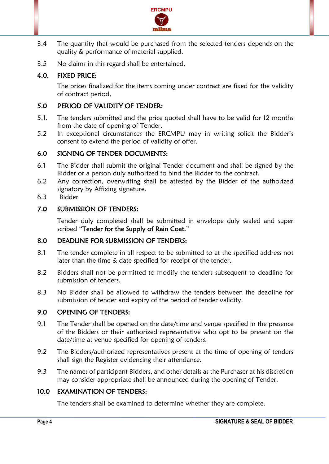

- 3.4 The quantity that would be purchased from the selected tenders depends on the quality & performance of material supplied.
- 3.5 No claims in this regard shall be entertained.

#### 4.0. FIXED PRICE:

The prices finalized for the items coming under contract are fixed for the validity of contract period.

#### 5.0 PERIOD OF VALIDITY OF TENDER:

- 5.1. The tenders submitted and the price quoted shall have to be valid for 12 months from the date of opening of Tender.
- 5.2 In exceptional circumstances the ERCMPU may in writing solicit the Bidder's consent to extend the period of validity of offer.

#### 6.0 SIGNING OF TENDER DOCUMENTS:

- 6.1 The Bidder shall submit the original Tender document and shall be signed by the Bidder or a person duly authorized to bind the Bidder to the contract.
- 6.2 Any correction, overwriting shall be attested by the Bidder of the authorized signatory by Affixing signature.
- 6.3 Bidder

#### 7.0 SUBMISSION OF TENDERS:

Tender duly completed shall be submitted in envelope duly sealed and super scribed "Tender for the Supply of Rain Coat."

#### 8.0 DEADLINE FOR SUBMISSION OF TENDERS:

- 8.1 The tender complete in all respect to be submitted to at the specified address not later than the time & date specified for receipt of the tender.
- 8.2 Bidders shall not be permitted to modify the tenders subsequent to deadline for submission of tenders.
- 8.3 No Bidder shall be allowed to withdraw the tenders between the deadline for submission of tender and expiry of the period of tender validity.

#### 9.0 OPENING OF TENDERS:

- 9.1 The Tender shall be opened on the date/time and venue specified in the presence of the Bidders or their authorized representative who opt to be present on the date/time at venue specified for opening of tenders.
- 9.2 The Bidders/authorized representatives present at the time of opening of tenders shall sign the Register evidencing their attendance.
- 9.3 The names of participant Bidders, and other details as the Purchaser at his discretion may consider appropriate shall be announced during the opening of Tender.

#### 10.0 EXAMINATION OF TENDERS:

The tenders shall be examined to determine whether they are complete.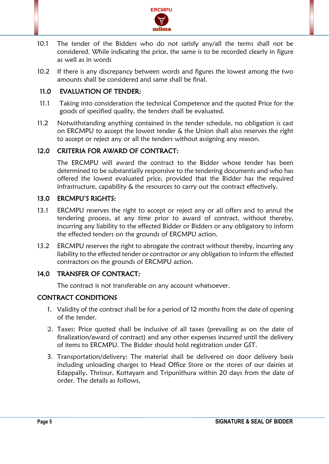

- 10.1 The tender of the Bidders who do not satisfy any/all the terms shall not be considered. While indicating the price, the same is to be recorded clearly in figure as well as in words
- 10.2 If there is any discrepancy between words and figures the lowest among the two amounts shall be considered and same shall be final.

#### 11.0 EVALUATION OF TENDER:

- 11.1 Taking into consideration the technical Competence and the quoted Price for the goods of specified quality, the tenders shall be evaluated.
- 11.2 Notwithstanding anything contained in the tender schedule, no obligation is cast on ERCMPU to accept the lowest tender & the Union shall also reserves the right to accept or reject any or all the tenders without assigning any reason.

#### 12.0 CRITERIA FOR AWARD OF CONTRACT:

The ERCMPU will award the contract to the Bidder whose tender has been determined to be substantially responsive to the tendering documents and who has offered the lowest evaluated price, provided that the Bidder has the required infrastructure, capability & the resources to carry out the contract effectively.

#### 13.0 ERCMPU'S RIGHTS:

- 13.1 ERCMPU reserves the right to accept or reject any or all offers and to annul the tendering process, at any time prior to award of contract, without thereby, incurring any liability to the effected Bidder or Bidders or any obligatory to inform the effected tenders on the grounds of ERCMPU action.
- 13.2 ERCMPU reserves the right to abrogate the contract without thereby, incurring any liability to the effected tender or contractor or any obligation to inform the effected contractors on the grounds of ERCMPU action.

#### 14.0 TRANSFER OF CONTRACT:

The contract is not transferable on any account whatsoever.

#### CONTRACT CONDITIONS

- 1. Validity of the contract shall be for a period of 12 months from the date of opening of the tender.
- 2. Taxes: Price quoted shall be inclusive of all taxes (prevailing as on the date of finalization/award of contract) and any other expenses incurred until the delivery of items to ERCMPU. The Bidder should hold registration under GST.
- 3. Transportation/delivery: The material shall be delivered on door delivery basis including unloading charges to Head Office Store or the stores of our dairies at Edappally, Thrissur, Kottayam and Tripunithura within 20 days from the date of order. The details as follows,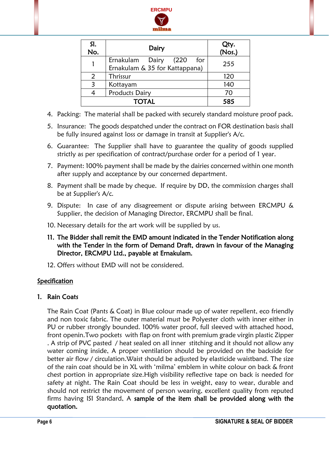

| SI.<br>No. | Dairy                                                                | Qty.<br>(Nos.) |
|------------|----------------------------------------------------------------------|----------------|
|            | Ernakulam<br>(220)<br>Dairy<br>for<br>Ernakulam & 35 for Kattappana) | 255            |
| 2          | Thrissur                                                             | 120            |
| 3          | Kottayam                                                             | 140            |
|            | 70                                                                   |                |
|            | 585                                                                  |                |

- 4. Packing: The material shall be packed with securely standard moisture proof pack.
- 5. Insurance: The goods despatched under the contract on FOR destination basis shall be fully insured against loss or damage in transit at Supplier's A/c.
- 6. Guarantee: The Supplier shall have to guarantee the quality of goods supplied strictly as per specification of contract/purchase order for a period of 1 year.
- 7. Payment: 100% payment shall be made by the dairies concerned within one month after supply and acceptance by our concerned department.
- 8. Payment shall be made by cheque. If require by DD, the commission charges shall be at Supplier's A/c.
- 9. Dispute: In case of any disagreement or dispute arising between ERCMPU & Supplier, the decision of Managing Director, ERCMPU shall be final.
- 10. Necessary details for the art work will be supplied by us.
- 11. The Bidder shall remit the EMD amount indicated in the Tender Notification along with the Tender in the form of Demand Draft, drawn in favour of the Managing Director, ERCMPU Ltd., payable at Ernakulam.
- 12. Offers without EMD will not be considered.

#### Specification

#### 1. Rain Coats

The Rain Coat (Pants & Coat) in Blue colour made up of water repellent, eco friendly and non toxic fabric. The outer material must be Polyester cloth with inner either in PU or rubber strongly bounded. 100% water proof, full sleeved with attached hood, front openin.Two pockets with flap on front with premium grade virgin plastic Zipper . A strip of PVC pasted / heat sealed on all inner stitching and it should not allow any water coming inside, A proper ventilation should be provided on the backside for better air flow / circulation.Waist should be adjusted by elasticide waistband. The size of the rain coat should be in XL with 'milma' emblem in white colour on back & front chest portion in appropriate size.High visibility reflective tape on back is needed for safety at night. The Rain Coat should be less in weight, easy to wear, durable and should not restrict the movement of person wearing, excellent quality from reputed firms having ISI Standard, A sample of the item shall be provided along with the quotation.